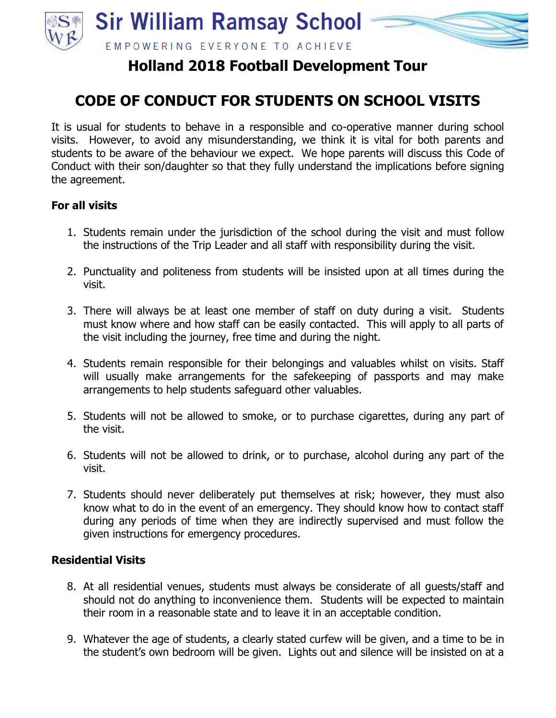

## **Holland 2018 Football Development Tour**

## **CODE OF CONDUCT FOR STUDENTS ON SCHOOL VISITS**

It is usual for students to behave in a responsible and co-operative manner during school visits. However, to avoid any misunderstanding, we think it is vital for both parents and students to be aware of the behaviour we expect. We hope parents will discuss this Code of Conduct with their son/daughter so that they fully understand the implications before signing the agreement.

## **For all visits**

- 1. Students remain under the jurisdiction of the school during the visit and must follow the instructions of the Trip Leader and all staff with responsibility during the visit.
- 2. Punctuality and politeness from students will be insisted upon at all times during the visit.
- 3. There will always be at least one member of staff on duty during a visit. Students must know where and how staff can be easily contacted. This will apply to all parts of the visit including the journey, free time and during the night.
- 4. Students remain responsible for their belongings and valuables whilst on visits. Staff will usually make arrangements for the safekeeping of passports and may make arrangements to help students safeguard other valuables.
- 5. Students will not be allowed to smoke, or to purchase cigarettes, during any part of the visit.
- 6. Students will not be allowed to drink, or to purchase, alcohol during any part of the visit.
- 7. Students should never deliberately put themselves at risk; however, they must also know what to do in the event of an emergency. They should know how to contact staff during any periods of time when they are indirectly supervised and must follow the given instructions for emergency procedures.

## **Residential Visits**

- 8. At all residential venues, students must always be considerate of all guests/staff and should not do anything to inconvenience them. Students will be expected to maintain their room in a reasonable state and to leave it in an acceptable condition.
- 9. Whatever the age of students, a clearly stated curfew will be given, and a time to be in the student's own bedroom will be given. Lights out and silence will be insisted on at a